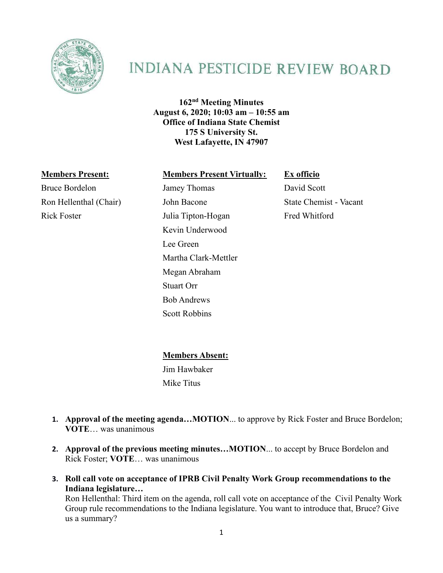

## **INDIANA PESTICIDE REVIEW BOARD**

**162nd Meeting Minutes August 6, 2020; 10:03 am – 10:55 am Office of Indiana State Chemist 175 S University St. West Lafayette, IN 47907**

## **Members Present: Members Present Virtually: Ex officio**

Bruce Bordelon Jamey Thomas David Scott Ron Hellenthal (Chair) John Bacone State Chemist - Vacant Rick Foster **Iulia Tipton-Hogan** Fred Whitford

Kevin Underwood Lee Green Martha Clark-Mettler Megan Abraham Stuart Orr Bob Andrews Scott Robbins

**Members Absent:**

Jim Hawbaker Mike Titus

- **1. Approval of the meeting agenda…MOTION**... to approve by Rick Foster and Bruce Bordelon; **VOTE**… was unanimous
- **2. Approval of the previous meeting minutes…MOTION**... to accept by Bruce Bordelon and Rick Foster; **VOTE**… was unanimous
- **3. Roll call vote on acceptance of IPRB Civil Penalty Work Group recommendations to the Indiana legislature…**

Ron Hellenthal: Third item on the agenda, roll call vote on acceptance of the Civil Penalty Work Group rule recommendations to the Indiana legislature. You want to introduce that, Bruce? Give us a summary?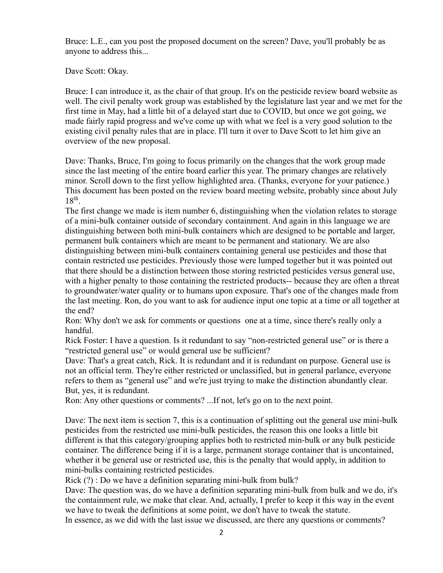Bruce: L.E., can you post the proposed document on the screen? Dave, you'll probably be as anyone to address this...

Dave Scott: Okay.

Bruce: I can introduce it, as the chair of that group. It's on the pesticide review board website as well. The civil penalty work group was established by the legislature last year and we met for the first time in May, had a little bit of a delayed start due to COVID, but once we got going, we made fairly rapid progress and we've come up with what we feel is a very good solution to the existing civil penalty rules that are in place. I'll turn it over to Dave Scott to let him give an overview of the new proposal.

Dave: Thanks, Bruce, I'm going to focus primarily on the changes that the work group made since the last meeting of the entire board earlier this year. The primary changes are relatively minor. Scroll down to the first yellow highlighted area. (Thanks, everyone for your patience.) This document has been posted on the review board meeting website, probably since about July 18<sup>th</sup>.

The first change we made is item number 6, distinguishing when the violation relates to storage of a mini-bulk container outside of secondary containment. And again in this language we are distinguishing between both mini-bulk containers which are designed to be portable and larger, permanent bulk containers which are meant to be permanent and stationary. We are also distinguishing between mini-bulk containers containing general use pesticides and those that contain restricted use pesticides. Previously those were lumped together but it was pointed out that there should be a distinction between those storing restricted pesticides versus general use, with a higher penalty to those containing the restricted products-- because they are often a threat to groundwater/water quality or to humans upon exposure. That's one of the changes made from the last meeting. Ron, do you want to ask for audience input one topic at a time or all together at the end?

Ron: Why don't we ask for comments or questions one at a time, since there's really only a handful.

Rick Foster: I have a question. Is it redundant to say "non-restricted general use" or is there a "restricted general use" or would general use be sufficient?

Dave: That's a great catch, Rick. It is redundant and it is redundant on purpose. General use is not an official term. They're either restricted or unclassified, but in general parlance, everyone refers to them as "general use" and we're just trying to make the distinction abundantly clear. But, yes, it is redundant.

Ron: Any other questions or comments? ...If not, let's go on to the next point.

Dave: The next item is section 7, this is a continuation of splitting out the general use mini-bulk pesticides from the restricted use mini-bulk pesticides, the reason this one looks a little bit different is that this category/grouping applies both to restricted min-bulk or any bulk pesticide container. The difference being if it is a large, permanent storage container that is uncontained, whether it be general use or restricted use, this is the penalty that would apply, in addition to mini-bulks containing restricted pesticides.

Rick (?) : Do we have a definition separating mini-bulk from bulk?

Dave: The question was, do we have a definition separating mini-bulk from bulk and we do, it's the containment rule, we make that clear. And, actually, I prefer to keep it this way in the event we have to tweak the definitions at some point, we don't have to tweak the statute.

In essence, as we did with the last issue we discussed, are there any questions or comments?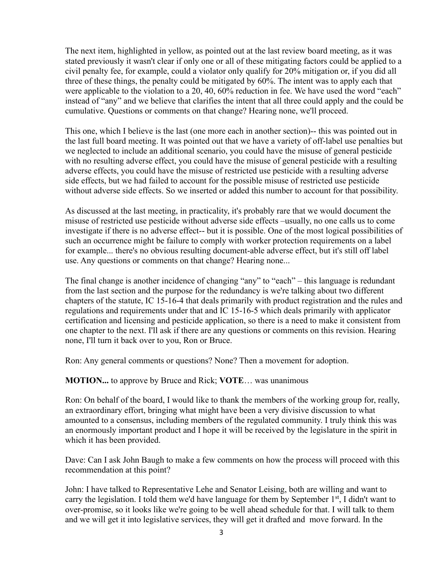The next item, highlighted in yellow, as pointed out at the last review board meeting, as it was stated previously it wasn't clear if only one or all of these mitigating factors could be applied to a civil penalty fee, for example, could a violator only qualify for 20% mitigation or, if you did all three of these things, the penalty could be mitigated by 60%. The intent was to apply each that were applicable to the violation to a 20, 40, 60% reduction in fee. We have used the word "each" instead of "any" and we believe that clarifies the intent that all three could apply and the could be cumulative. Questions or comments on that change? Hearing none, we'll proceed.

This one, which I believe is the last (one more each in another section)-- this was pointed out in the last full board meeting. It was pointed out that we have a variety of off-label use penalties but we neglected to include an additional scenario, you could have the misuse of general pesticide with no resulting adverse effect, you could have the misuse of general pesticide with a resulting adverse effects, you could have the misuse of restricted use pesticide with a resulting adverse side effects, but we had failed to account for the possible misuse of restricted use pesticide without adverse side effects. So we inserted or added this number to account for that possibility.

As discussed at the last meeting, in practicality, it's probably rare that we would document the misuse of restricted use pesticide without adverse side effects –usually, no one calls us to come investigate if there is no adverse effect-- but it is possible. One of the most logical possibilities of such an occurrence might be failure to comply with worker protection requirements on a label for example... there's no obvious resulting document-able adverse effect, but it's still off label use. Any questions or comments on that change? Hearing none...

The final change is another incidence of changing "any" to "each" – this language is redundant from the last section and the purpose for the redundancy is we're talking about two different chapters of the statute, IC 15-16-4 that deals primarily with product registration and the rules and regulations and requirements under that and IC 15-16-5 which deals primarily with applicator certification and licensing and pesticide application, so there is a need to make it consistent from one chapter to the next. I'll ask if there are any questions or comments on this revision. Hearing none, I'll turn it back over to you, Ron or Bruce.

Ron: Any general comments or questions? None? Then a movement for adoption.

**MOTION...** to approve by Bruce and Rick; **VOTE**… was unanimous

Ron: On behalf of the board, I would like to thank the members of the working group for, really, an extraordinary effort, bringing what might have been a very divisive discussion to what amounted to a consensus, including members of the regulated community. I truly think this was an enormously important product and I hope it will be received by the legislature in the spirit in which it has been provided.

Dave: Can I ask John Baugh to make a few comments on how the process will proceed with this recommendation at this point?

John: I have talked to Representative Lehe and Senator Leising, both are willing and want to carry the legislation. I told them we'd have language for them by September  $1<sup>st</sup>$ , I didn't want to over-promise, so it looks like we're going to be well ahead schedule for that. I will talk to them and we will get it into legislative services, they will get it drafted and move forward. In the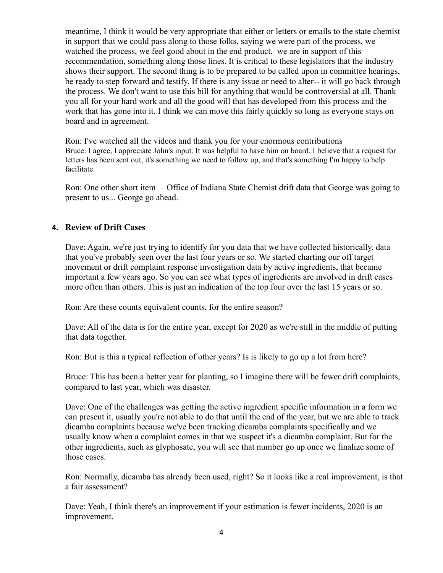meantime, I think it would be very appropriate that either or letters or emails to the state chemist in support that we could pass along to those folks, saying we were part of the process, we watched the process, we feel good about in the end product, we are in support of this recommendation, something along those lines. It is critical to these legislators that the industry shows their support. The second thing is to be prepared to be called upon in committee hearings, be ready to step forward and testify. If there is any issue or need to alter-- it will go back through the process. We don't want to use this bill for anything that would be controversial at all. Thank you all for your hard work and all the good will that has developed from this process and the work that has gone into it. I think we can move this fairly quickly so long as everyone stays on board and in agreement.

Ron: I've watched all the videos and thank you for your enormous contributions Bruce: I agree, I appreciate John's input. It was helpful to have him on board. I believe that a request for letters has been sent out, it's something we need to follow up, and that's something I'm happy to help facilitate.

Ron: One other short item— Office of Indiana State Chemist drift data that George was going to present to us... George go ahead.

## **4. Review of Drift Cases**

Dave: Again, we're just trying to identify for you data that we have collected historically, data that you've probably seen over the last four years or so. We started charting our off target movement or drift complaint response investigation data by active ingredients, that became important a few years ago. So you can see what types of ingredients are involved in drift cases more often than others. This is just an indication of the top four over the last 15 years or so.

Ron: Are these counts equivalent counts, for the entire season?

Dave: All of the data is for the entire year, except for 2020 as we're still in the middle of putting that data together.

Ron: But is this a typical reflection of other years? Is is likely to go up a lot from here?

Bruce: This has been a better year for planting, so I imagine there will be fewer drift complaints, compared to last year, which was disaster.

Dave: One of the challenges was getting the active ingredient specific information in a form we can present it, usually you're not able to do that until the end of the year, but we are able to track dicamba complaints because we've been tracking dicamba complaints specifically and we usually know when a complaint comes in that we suspect it's a dicamba complaint. But for the other ingredients, such as glyphosate, you will see that number go up once we finalize some of those cases.

Ron: Normally, dicamba has already been used, right? So it looks like a real improvement, is that a fair assessment?

Dave: Yeah, I think there's an improvement if your estimation is fewer incidents, 2020 is an improvement.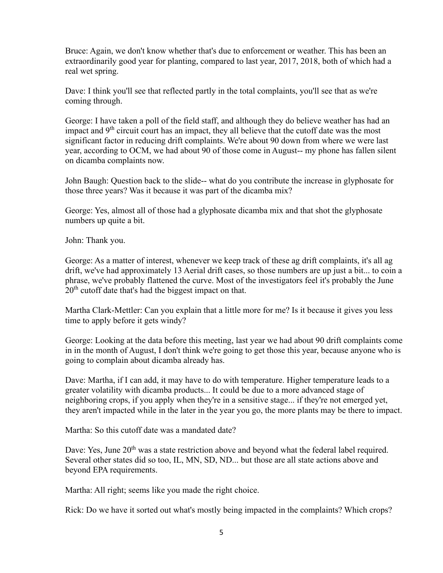Bruce: Again, we don't know whether that's due to enforcement or weather. This has been an extraordinarily good year for planting, compared to last year, 2017, 2018, both of which had a real wet spring.

Dave: I think you'll see that reflected partly in the total complaints, you'll see that as we're coming through.

George: I have taken a poll of the field staff, and although they do believe weather has had an impact and 9<sup>th</sup> circuit court has an impact, they all believe that the cutoff date was the most significant factor in reducing drift complaints. We're about 90 down from where we were last year, according to OCM, we had about 90 of those come in August-- my phone has fallen silent on dicamba complaints now.

John Baugh: Question back to the slide-- what do you contribute the increase in glyphosate for those three years? Was it because it was part of the dicamba mix?

George: Yes, almost all of those had a glyphosate dicamba mix and that shot the glyphosate numbers up quite a bit.

John: Thank you.

George: As a matter of interest, whenever we keep track of these ag drift complaints, it's all ag drift, we've had approximately 13 Aerial drift cases, so those numbers are up just a bit... to coin a phrase, we've probably flattened the curve. Most of the investigators feel it's probably the June  $20<sup>th</sup>$  cutoff date that's had the biggest impact on that.

Martha Clark-Mettler: Can you explain that a little more for me? Is it because it gives you less time to apply before it gets windy?

George: Looking at the data before this meeting, last year we had about 90 drift complaints come in in the month of August, I don't think we're going to get those this year, because anyone who is going to complain about dicamba already has.

Dave: Martha, if I can add, it may have to do with temperature. Higher temperature leads to a greater volatility with dicamba products... It could be due to a more advanced stage of neighboring crops, if you apply when they're in a sensitive stage... if they're not emerged yet, they aren't impacted while in the later in the year you go, the more plants may be there to impact.

Martha: So this cutoff date was a mandated date?

Dave: Yes, June 20<sup>th</sup> was a state restriction above and beyond what the federal label required. Several other states did so too, IL, MN, SD, ND... but those are all state actions above and beyond EPA requirements.

Martha: All right; seems like you made the right choice.

Rick: Do we have it sorted out what's mostly being impacted in the complaints? Which crops?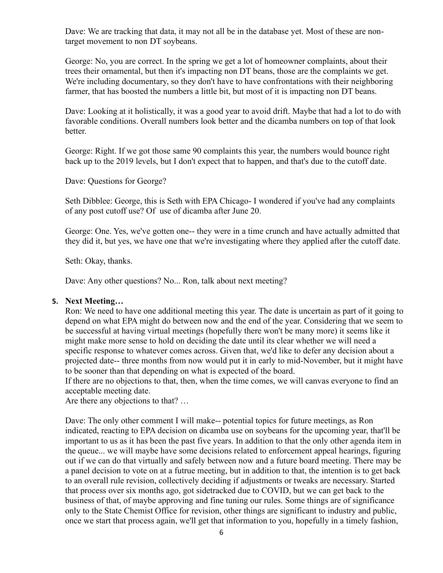Dave: We are tracking that data, it may not all be in the database yet. Most of these are nontarget movement to non DT soybeans.

George: No, you are correct. In the spring we get a lot of homeowner complaints, about their trees their ornamental, but then it's impacting non DT beans, those are the complaints we get. We're including documentary, so they don't have to have confrontations with their neighboring farmer, that has boosted the numbers a little bit, but most of it is impacting non DT beans.

Dave: Looking at it holistically, it was a good year to avoid drift. Maybe that had a lot to do with favorable conditions. Overall numbers look better and the dicamba numbers on top of that look better.

George: Right. If we got those same 90 complaints this year, the numbers would bounce right back up to the 2019 levels, but I don't expect that to happen, and that's due to the cutoff date.

Dave: Questions for George?

Seth Dibblee: George, this is Seth with EPA Chicago- I wondered if you've had any complaints of any post cutoff use? Of use of dicamba after June 20.

George: One. Yes, we've gotten one-- they were in a time crunch and have actually admitted that they did it, but yes, we have one that we're investigating where they applied after the cutoff date.

Seth: Okay, thanks.

Dave: Any other questions? No... Ron, talk about next meeting?

## **5. Next Meeting…**

Ron: We need to have one additional meeting this year. The date is uncertain as part of it going to depend on what EPA might do between now and the end of the year. Considering that we seem to be successful at having virtual meetings (hopefully there won't be many more) it seems like it might make more sense to hold on deciding the date until its clear whether we will need a specific response to whatever comes across. Given that, we'd like to defer any decision about a projected date-- three months from now would put it in early to mid-November, but it might have to be sooner than that depending on what is expected of the board.

If there are no objections to that, then, when the time comes, we will canvas everyone to find an acceptable meeting date.

Are there any objections to that? …

Dave: The only other comment I will make-- potential topics for future meetings, as Ron indicated, reacting to EPA decision on dicamba use on soybeans for the upcoming year, that'll be important to us as it has been the past five years. In addition to that the only other agenda item in the queue... we will maybe have some decisions related to enforcement appeal hearings, figuring out if we can do that virtually and safely between now and a future board meeting. There may be a panel decision to vote on at a futrue meeting, but in addition to that, the intention is to get back to an overall rule revision, collectively deciding if adjustments or tweaks are necessary. Started that process over six months ago, got sidetracked due to COVID, but we can get back to the business of that, of maybe approving and fine tuning our rules. Some things are of significance only to the State Chemist Office for revision, other things are significant to industry and public, once we start that process again, we'll get that information to you, hopefully in a timely fashion,